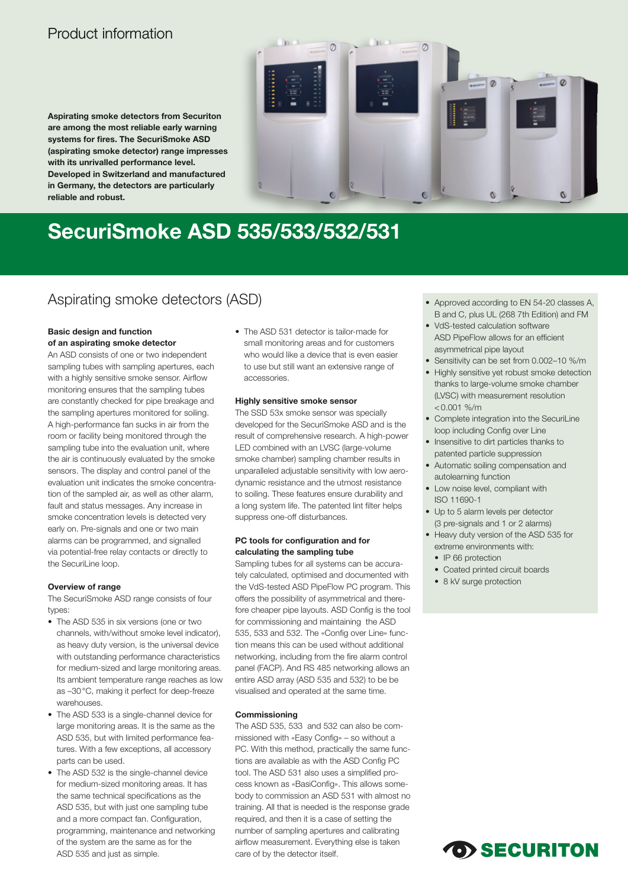## Product information

**Aspirating smoke detectors from Securiton are among the most reliable early warning systems for fires. The SecuriSmoke ASD (aspirating smoke detector) range impresses with its unrivalled performance level. Developed in Switzerland and manufactured in Germany, the detectors are particularly reliable and robust.** 



# **SecuriSmoke ASD 535/533/532/531**

## Aspirating smoke detectors (ASD) • Approved according to EN 54-20 classes A,

#### **Basic design and function of an aspirating smoke detector**

An ASD consists of one or two independent sampling tubes with sampling apertures, each with a highly sensitive smoke sensor. Airflow monitoring ensures that the sampling tubes are constantly checked for pipe breakage and the sampling apertures monitored for soiling. A high-performance fan sucks in air from the room or facility being monitored through the sampling tube into the evaluation unit, where the air is continuously evaluated by the smoke sensors. The display and control panel of the evaluation unit indicates the smoke concentration of the sampled air, as well as other alarm, fault and status messages. Any increase in smoke concentration levels is detected very early on. Pre-signals and one or two main alarms can be programmed, and signalled via potential-free relay contacts or directly to the SecuriLine loop.

#### **Overview of range**

The SecuriSmoke ASD range consists of four types:

- The ASD 535 in six versions (one or two channels, with/without smoke level indicator), as heavy duty version, is the universal device with outstanding performance characteristics for medium-sized and large monitoring areas. Its ambient temperature range reaches as low as –30°C, making it perfect for deep-freeze warehouses.
- The ASD 533 is a single-channel device for large monitoring areas. It is the same as the ASD 535, but with limited performance features. With a few exceptions, all accessory parts can be used.
- The ASD 532 is the single-channel device for medium-sized monitoring areas. It has the same technical specifications as the ASD 535, but with just one sampling tube and a more compact fan. Configuration, programming, maintenance and networking of the system are the same as for the ASD 535 and just as simple.

• The ASD 531 detector is tailor-made for small monitoring areas and for customers who would like a device that is even easier to use but still want an extensive range of accessories.

#### **Highly sensitive smoke sensor**

The SSD 53x smoke sensor was specially developed for the SecuriSmoke ASD and is the result of comprehensive research. A high-power LED combined with an LVSC (large-volume smoke chamber) sampling chamber results in unparalleled adjustable sensitivity with low aerodynamic resistance and the utmost resistance to soiling. These features ensure durability and a long system life. The patented lint filter helps suppress one-off disturbances.

#### **PC tools for configuration and for calculating the sampling tube**

Sampling tubes for all systems can be accurately calculated, optimised and documented with the VdS-tested ASD PipeFlow PC program. This offers the possibility of asymmetrical and therefore cheaper pipe layouts. ASD Config is the tool for commissioning and maintaining the ASD 535, 533 and 532. The «Config over Line» function means this can be used without additional networking, including from the fire alarm control panel (FACP). And RS 485 networking allows an entire ASD array (ASD 535 and 532) to be be visualised and operated at the same time.

#### **Commissioning**

The ASD 535, 533 and 532 can also be commissioned with «Easy Config» – so without a PC. With this method, practically the same functions are available as with the ASD Config PC tool. The ASD 531 also uses a simplified process known as «BasiConfig». This allows somebody to commission an ASD 531 with almost no training. All that is needed is the response grade required, and then it is a case of setting the number of sampling apertures and calibrating airflow measurement. Everything else is taken care of by the detector itself.

- B and C, plus UL (268 7th Edition) and FM
- VdS-tested calculation software ASD PipeFlow allows for an efficient asymmetrical pipe layout
- Sensitivity can be set from 0.002–10 %/m
- Highly sensitive yet robust smoke detection thanks to large-volume smoke chamber (LVSC) with measurement resolution  $< 0.001$  %/m
- Complete integration into the SecuriLine loop including Config over Line
- Insensitive to dirt particles thanks to patented particle suppression
- Automatic soiling compensation and autolearning function
- Low noise level, compliant with ISO 11690-1
- Up to 5 alarm levels per detector (3 pre-signals and 1 or 2 alarms)
- Heavy duty version of the ASD 535 for extreme environments with:
- IP 66 protection
- Coated printed circuit boards
- 8 kV surge protection

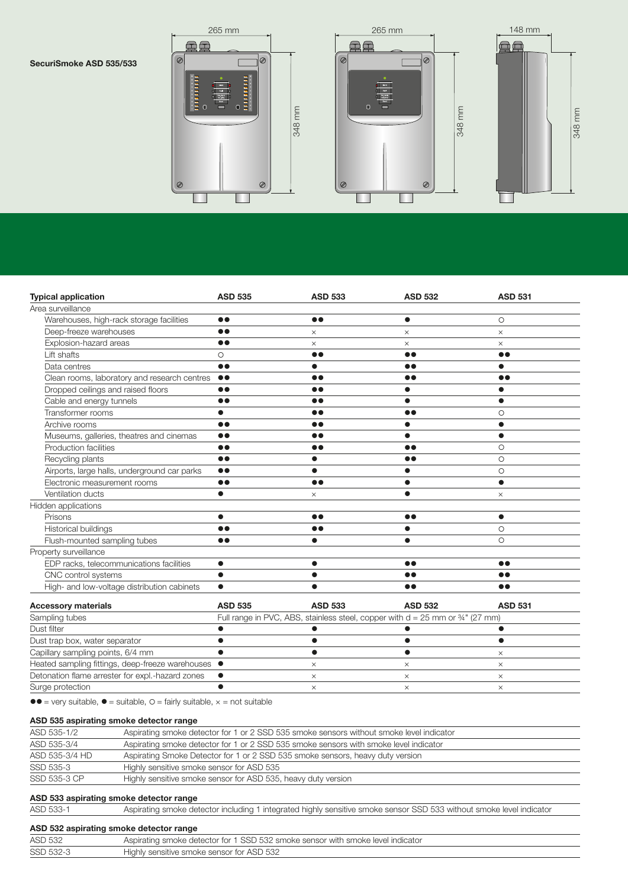#### **SecuriSmoke ASD 535/533**







| <b>Typical application</b>                       | <b>ASD 535</b>                                                                              | <b>ASD 533</b>   | <b>ASD 532</b>   | <b>ASD 531</b>   |  |
|--------------------------------------------------|---------------------------------------------------------------------------------------------|------------------|------------------|------------------|--|
| Area surveillance                                |                                                                                             |                  |                  |                  |  |
| Warehouses, high-rack storage facilities         | $\bullet\bullet$                                                                            | $\bullet\bullet$ | $\bullet$        | $\circ$          |  |
| Deep-freeze warehouses                           | $\bullet$                                                                                   | $\times$         | $\times$         | $\times$         |  |
| Explosion-hazard areas                           | $\bullet\bullet$                                                                            | X                | $\times$         | $\times$         |  |
| Lift shafts                                      | $\circ$                                                                                     | $\bullet\bullet$ | $\bullet\bullet$ | $\bullet\bullet$ |  |
| Data centres                                     | $\bullet\bullet$                                                                            | $\bullet$        | $\bullet\bullet$ | $\bullet$        |  |
| Clean rooms, laboratory and research centres     | $\bullet\bullet$                                                                            | $\bullet\bullet$ | $\bullet\bullet$ | $\bullet\bullet$ |  |
| Dropped ceilings and raised floors               | $\bullet\bullet$                                                                            | $\bullet\bullet$ | $\bullet$        | $\bullet$        |  |
| Cable and energy tunnels                         | $\bullet\bullet$                                                                            | $\bullet\bullet$ | $\bullet$        | $\bullet$        |  |
| Transformer rooms                                | $\bullet$                                                                                   | $\bullet\bullet$ | $\bullet\bullet$ | $\circ$          |  |
| Archive rooms                                    | $\bullet$                                                                                   | $\bullet\bullet$ | ●                | $\bullet$        |  |
| Museums, galleries, theatres and cinemas         | $\bullet\bullet$                                                                            | $\bullet\bullet$ | $\bullet$        |                  |  |
| Production facilities                            | $\bullet\bullet$                                                                            | $\bullet\bullet$ | $\bullet\bullet$ | $\circ$          |  |
| Recycling plants                                 | $\bullet$                                                                                   | $\bullet$        | $\bullet\bullet$ | $\circ$          |  |
| Airports, large halls, underground car parks     | $\bullet\bullet$                                                                            | $\bullet$        | $\bullet$        | $\circ$          |  |
| Electronic measurement rooms                     | $\bullet\bullet$                                                                            | $\bullet\bullet$ | $\bullet$        | $\bullet$        |  |
| Ventilation ducts                                | $\bullet$                                                                                   | $\times$         | $\bullet$        | $\times$         |  |
| Hidden applications                              |                                                                                             |                  |                  |                  |  |
| Prisons                                          | $\bullet$                                                                                   | $\bullet\bullet$ | $\bullet\bullet$ | $\bullet$        |  |
| Historical buildings                             | $\bullet\bullet$                                                                            | $\bullet\bullet$ | $\bullet$        | $\circ$          |  |
| Flush-mounted sampling tubes                     | $\bullet\bullet$                                                                            | $\bullet$        | $\bullet$        | $\circ$          |  |
| Property surveillance                            |                                                                                             |                  |                  |                  |  |
| EDP racks, telecommunications facilities         | $\bullet$                                                                                   | $\bullet$        | $\bullet\bullet$ | $\bullet\bullet$ |  |
| CNC control systems                              | $\bullet$                                                                                   |                  | $\bullet\bullet$ | $\bullet\bullet$ |  |
| High- and low-voltage distribution cabinets      | $\bullet$                                                                                   |                  | $\bullet\bullet$ | $\bullet\bullet$ |  |
| <b>Accessory materials</b>                       | <b>ASD 535</b>                                                                              | <b>ASD 533</b>   | <b>ASD 532</b>   | <b>ASD 531</b>   |  |
| Sampling tubes                                   | Full range in PVC, ABS, stainless steel, copper with $d = 25$ mm or $\frac{3}{4}$ " (27 mm) |                  |                  |                  |  |
| Dust filter                                      |                                                                                             |                  |                  |                  |  |
| Dust trap box, water separator                   |                                                                                             |                  |                  | $\bullet$        |  |
| Capillary sampling points, 6/4 mm                |                                                                                             | $\bullet$        | $\bullet$        | $\times$         |  |
| Heated sampling fittings, deep-freeze warehouses | $\bullet$                                                                                   | $\times$         | $\times$         | $\times$         |  |
| Detonation flame arrester for expl.-hazard zones | $\bullet$                                                                                   | $\times$         | $\times$         | $\times$         |  |
| Surge protection                                 | $\bullet$                                                                                   | X                | $\times$         | $\times$         |  |

 $\bullet \bullet$  = very suitable,  $\bullet$  = suitable,  $\circ$  = fairly suitable,  $\times$  = not suitable

#### **ASD 535 aspirating smoke detector range**

| ASD 535-1/2    | Aspirating smoke detector for 1 or 2 SSD 535 smoke sensors without smoke level indicator |
|----------------|------------------------------------------------------------------------------------------|
| ASD 535-3/4    | Aspirating smoke detector for 1 or 2 SSD 535 smoke sensors with smoke level indicator    |
| ASD 535-3/4 HD | Aspirating Smoke Detector for 1 or 2 SSD 535 smoke sensors, heavy duty version           |
| SSD 535-3      | Highly sensitive smoke sensor for ASD 535                                                |
| SSD 535-3 CP   | Highly sensitive smoke sensor for ASD 535, heavy duty version                            |

### **ASD 533 aspirating smoke detector range**

| ASD 533-1 | Aspirating smoke detector including 1 integrated highly sensitive smoke sensor SSD 533 without smoke level indicator |  |
|-----------|----------------------------------------------------------------------------------------------------------------------|--|
|           |                                                                                                                      |  |

#### **ASD 532 aspirating smoke detector range**

| AUD JUL aspirating sinung detector range |                                                                                 |  |  |  |  |  |
|------------------------------------------|---------------------------------------------------------------------------------|--|--|--|--|--|
| <b>ASD 532</b>                           | Aspirating smoke detector for 1 SSD 532 smoke sensor with smoke level indicator |  |  |  |  |  |
| SSD 532-3                                | Highly sensitive smoke sensor for ASD 532                                       |  |  |  |  |  |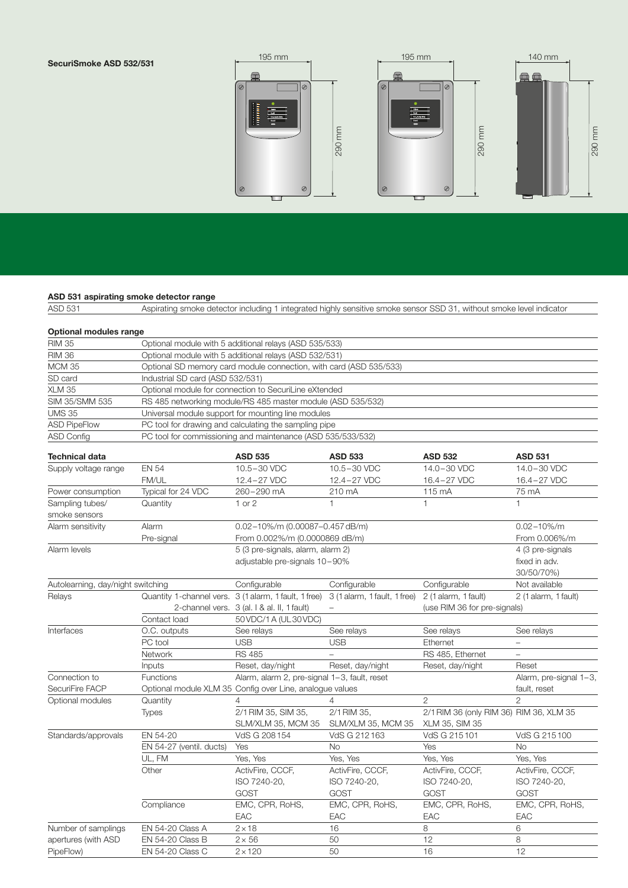#### **SecuriSmoke ASD 532/531**



**ASD 531 aspirating smoke detector range**<br>ASD 531 **Aspirating smoke detector** Aspirating smoke detector including 1 integrated highly sensitive smoke sensor SSD 31, without smoke level indicator

| <b>Optional modules range</b>     |                                                                    |                                                                             |                              |                                         |                          |  |  |
|-----------------------------------|--------------------------------------------------------------------|-----------------------------------------------------------------------------|------------------------------|-----------------------------------------|--------------------------|--|--|
| <b>RIM 35</b>                     | Optional module with 5 additional relays (ASD 535/533)             |                                                                             |                              |                                         |                          |  |  |
| <b>RIM 36</b>                     | Optional module with 5 additional relays (ASD 532/531)             |                                                                             |                              |                                         |                          |  |  |
| <b>MCM 35</b>                     | Optional SD memory card module connection, with card (ASD 535/533) |                                                                             |                              |                                         |                          |  |  |
| SD card                           | Industrial SD card (ASD 532/531)                                   |                                                                             |                              |                                         |                          |  |  |
| $\overline{X}$ LM 35              |                                                                    | Optional module for connection to SecuriLine eXtended                       |                              |                                         |                          |  |  |
| SIM 35/SMM 535                    | RS 485 networking module/RS 485 master module (ASD 535/532)        |                                                                             |                              |                                         |                          |  |  |
| <b>UMS 35</b>                     | Universal module support for mounting line modules                 |                                                                             |                              |                                         |                          |  |  |
| <b>ASD PipeFlow</b>               | PC tool for drawing and calculating the sampling pipe              |                                                                             |                              |                                         |                          |  |  |
| <b>ASD Config</b>                 | PC tool for commissioning and maintenance (ASD 535/533/532)        |                                                                             |                              |                                         |                          |  |  |
| <b>Technical data</b>             |                                                                    | <b>ASD 535</b>                                                              | <b>ASD 533</b>               | <b>ASD 532</b>                          | <b>ASD 531</b>           |  |  |
| Supply voltage range              | <b>EN 54</b>                                                       | 10.5-30 VDC                                                                 | 10.5-30 VDC                  | 14.0-30 VDC                             | 14.0-30 VDC              |  |  |
|                                   | FM/UL                                                              | 12.4-27 VDC                                                                 | 12.4-27 VDC                  | 16.4-27 VDC                             | 16.4-27 VDC              |  |  |
| Power consumption                 | Typical for 24 VDC                                                 | 260-290 mA                                                                  | 210 mA                       | 115 mA                                  | 75 mA                    |  |  |
| Sampling tubes/                   | Quantity                                                           | $1$ or $2$                                                                  | $\mathbf{1}$                 | $\mathbf{1}$                            | $\mathbf{1}$             |  |  |
| smoke sensors                     |                                                                    |                                                                             |                              |                                         |                          |  |  |
| Alarm sensitivity                 | Alarm                                                              | 0.02-10%/m (0.00087-0.457 dB/m)                                             |                              |                                         | $0.02 - 10\% / m$        |  |  |
|                                   | Pre-signal                                                         | From 0.002%/m (0.0000869 dB/m)                                              |                              |                                         | From 0.006%/m            |  |  |
| Alarm levels                      |                                                                    | 5 (3 pre-signals, alarm, alarm 2)                                           |                              |                                         | 4 (3 pre-signals         |  |  |
|                                   |                                                                    | adjustable pre-signals 10-90%                                               |                              |                                         | fixed in adv.            |  |  |
|                                   |                                                                    |                                                                             |                              |                                         | 30/50/70%)               |  |  |
| Autolearning, day/night switching |                                                                    | Configurable                                                                | Configurable                 | Configurable                            | Not available            |  |  |
| Relays                            |                                                                    | Quantity 1-channel vers. 3 (1 alarm, 1 fault, 1 free)                       | 3 (1 alarm, 1 fault, 1 free) | 2 (1 alarm, 1 fault)                    | 2 (1 alarm, 1 fault)     |  |  |
|                                   |                                                                    | 2-channel vers. 3 (al. I & al. II, 1 fault)<br>(use RIM 36 for pre-signals) |                              |                                         |                          |  |  |
|                                   | Contact load                                                       | 50 VDC/1 A (UL30 VDC)                                                       |                              |                                         |                          |  |  |
| Interfaces                        | O.C. outputs                                                       | See relays                                                                  | See relays                   | See relays                              | See relays               |  |  |
|                                   | PC tool                                                            | <b>USB</b>                                                                  | <b>USB</b>                   | Ethernet                                | $\equiv$                 |  |  |
|                                   | Network                                                            | <b>RS 485</b>                                                               | $\equiv$                     | RS 485, Ethernet                        | $\overline{\phantom{0}}$ |  |  |
|                                   | Inputs                                                             | Reset, day/night                                                            | Reset, day/night             | Reset, day/night                        | Reset                    |  |  |
| Connection to                     | <b>Functions</b>                                                   | Alarm, alarm 2, pre-signal 1-3, fault, reset                                |                              |                                         | Alarm, pre-signal 1-3,   |  |  |
| SecuriFire FACP                   |                                                                    | Optional module XLM 35 Config over Line, analogue values                    |                              |                                         | fault, reset             |  |  |
| Optional modules                  | Quantity                                                           | 4                                                                           |                              | $\overline{2}$                          | $\overline{2}$           |  |  |
|                                   | <b>Types</b>                                                       | 2/1 RIM 35, SIM 35,                                                         | 2/1 RIM 35,                  | 2/1 RIM 36 (only RIM 36) RIM 36, XLM 35 |                          |  |  |
|                                   |                                                                    | SLM/XLM 35, MCM 35                                                          | SLM/XLM 35, MCM 35           | XLM 35, SIM 35                          |                          |  |  |
| Standards/approvals               | EN 54-20                                                           | VdS G 208 154                                                               | VdS G 212163                 | VdS G 215101                            | VdS G 215100             |  |  |
|                                   | EN 54-27 (ventil. ducts)                                           | Yes                                                                         | <b>No</b>                    | Yes                                     | <b>No</b>                |  |  |
|                                   | UL, FM                                                             | Yes, Yes                                                                    | Yes, Yes                     | Yes, Yes                                | Yes, Yes                 |  |  |
|                                   | Other                                                              | ActivFire, CCCF,                                                            | ActivFire, CCCF,             | ActivFire, CCCF,                        | ActivFire, CCCF,         |  |  |
|                                   |                                                                    | ISO 7240-20,                                                                | ISO 7240-20,                 | ISO 7240-20,                            | ISO 7240-20,             |  |  |
|                                   |                                                                    | <b>GOST</b>                                                                 | <b>GOST</b>                  | <b>GOST</b>                             | <b>GOST</b>              |  |  |
|                                   | Compliance                                                         | EMC, CPR, RoHS,                                                             | EMC, CPR, RoHS,              | EMC, CPR, RoHS,                         | EMC, CPR, RoHS,          |  |  |
|                                   |                                                                    | EAC                                                                         | EAC                          | EAC                                     | EAC                      |  |  |
| Number of samplings               | EN 54-20 Class A                                                   | $2 \times 18$                                                               | 16                           | 8                                       | 6                        |  |  |
| apertures (with ASD               | <b>EN 54-20 Class B</b>                                            | $2 \times 56$                                                               | 50                           | 12                                      | 8                        |  |  |
| PipeFlow)                         | EN 54-20 Class C                                                   | $2 \times 120$                                                              | 50                           | 16                                      | 12                       |  |  |